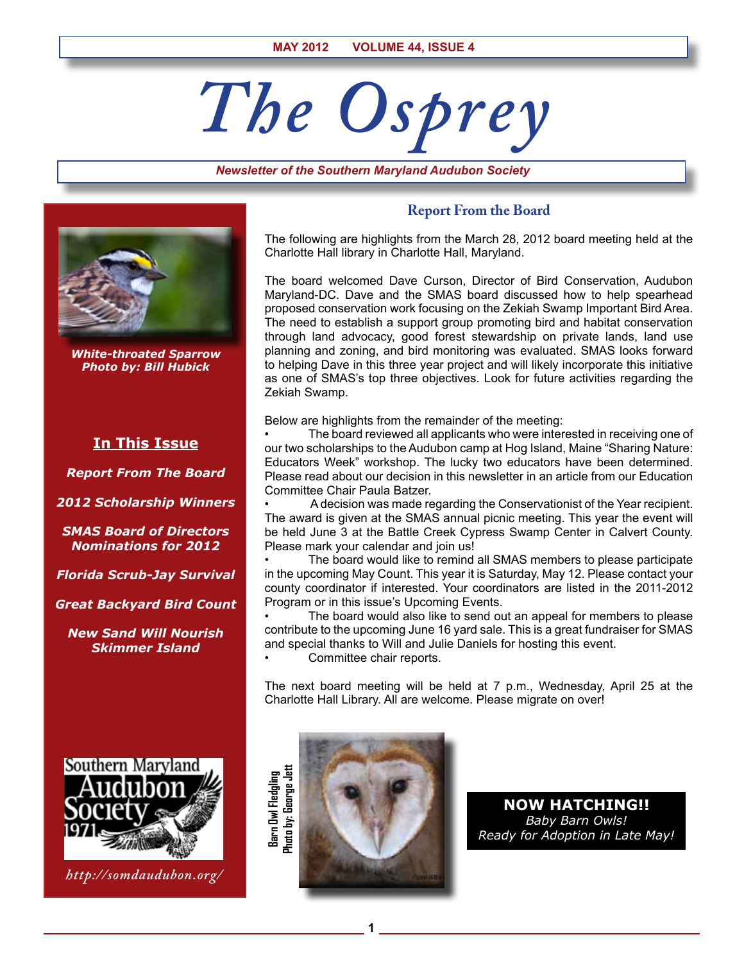# *The Osprey*

*Newsletter of the Southern Maryland Audubon Society*



*White-throated Sparrow Photo by: Bill Hubick*

# **In This Issue**

*Report From The Board*

*2012 Scholarship Winners*

*SMAS Board of Directors Nominations for 2012*

*Florida Scrub-Jay Survival*

*Great Backyard Bird Count*

*New Sand Will Nourish Skimmer Island*



*http://somdaudubon.org/*

### **Report From the Board**

The following are highlights from the March 28, 2012 board meeting held at the Charlotte Hall library in Charlotte Hall, Maryland.

The board welcomed Dave Curson, Director of Bird Conservation, Audubon Maryland-DC. Dave and the SMAS board discussed how to help spearhead proposed conservation work focusing on the Zekiah Swamp Important Bird Area. The need to establish a support group promoting bird and habitat conservation through land advocacy, good forest stewardship on private lands, land use planning and zoning, and bird monitoring was evaluated. SMAS looks forward to helping Dave in this three year project and will likely incorporate this initiative as one of SMAS's top three objectives. Look for future activities regarding the Zekiah Swamp.

Below are highlights from the remainder of the meeting:

The board reviewed all applicants who were interested in receiving one of our two scholarships to the Audubon camp at Hog Island, Maine "Sharing Nature: Educators Week" workshop. The lucky two educators have been determined. Please read about our decision in this newsletter in an article from our Education Committee Chair Paula Batzer.

• A decision was made regarding the Conservationist of the Year recipient. The award is given at the SMAS annual picnic meeting. This year the event will be held June 3 at the Battle Creek Cypress Swamp Center in Calvert County. Please mark your calendar and join us!

• The board would like to remind all SMAS members to please participate in the upcoming May Count. This year it is Saturday, May 12. Please contact your county coordinator if interested. Your coordinators are listed in the 2011-2012 Program or in this issue's Upcoming Events.

The board would also like to send out an appeal for members to please contribute to the upcoming June 16 yard sale. This is a great fundraiser for SMAS and special thanks to Will and Julie Daniels for hosting this event.

Committee chair reports.

The next board meeting will be held at 7 p.m., Wednesday, April 25 at the Charlotte Hall Library. All are welcome. Please migrate on over!



**1**

**Now Hatching!!** *Baby Barn Owls! Ready for Adoption in Late May!*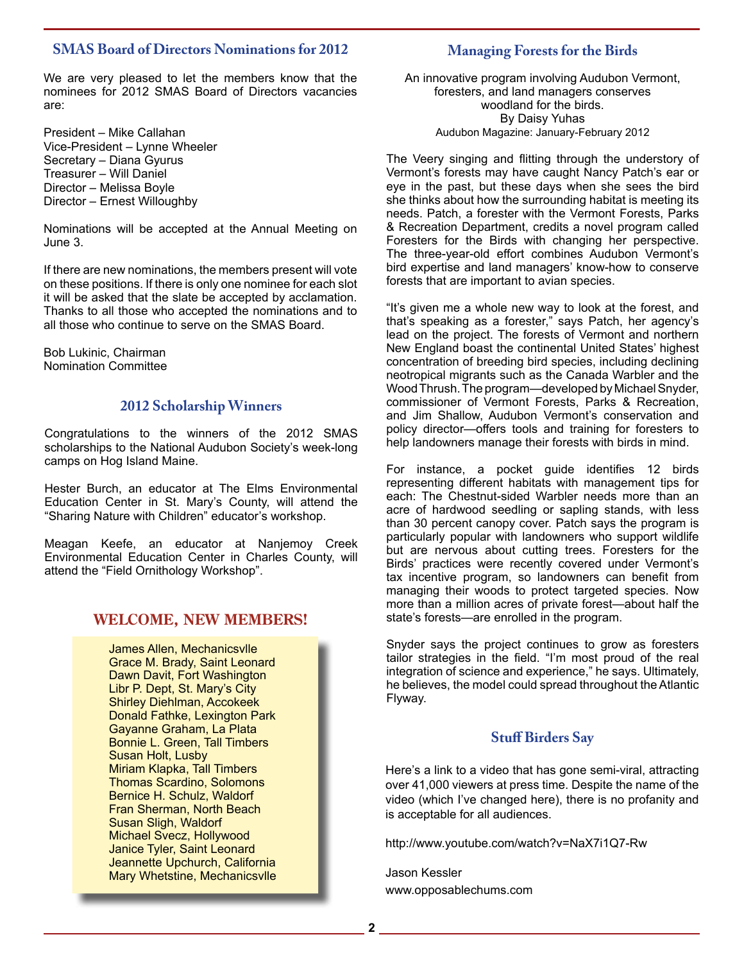# **SMAS Board of Directors Nominations for 2012**

We are very pleased to let the members know that the nominees for 2012 SMAS Board of Directors vacancies are:

President – Mike Callahan Vice-President – Lynne Wheeler Secretary – Diana Gyurus Treasurer – Will Daniel Director – Melissa Boyle Director – Ernest Willoughby

Nominations will be accepted at the Annual Meeting on June 3.

If there are new nominations, the members present will vote on these positions. If there is only one nominee for each slot it will be asked that the slate be accepted by acclamation. Thanks to all those who accepted the nominations and to all those who continue to serve on the SMAS Board.

Bob Lukinic, Chairman Nomination Committee

# **2012 Scholarship Winners**

Congratulations to the winners of the 2012 SMAS scholarships to the National Audubon Society's week-long camps on Hog Island Maine.

Hester Burch, an educator at The Elms Environmental Education Center in St. Mary's County, will attend the "Sharing Nature with Children" educator's workshop.

Meagan Keefe, an educator at Nanjemoy Creek Environmental Education Center in Charles County, will attend the "Field Ornithology Workshop".

# **WELCOME, NEW MEMBERS!**

James Allen, Mechanicsvlle Grace M. Brady, Saint Leonard Dawn Davit, Fort Washington Libr P. Dept, St. Mary's City Shirley Diehlman, Accokeek Donald Fathke, Lexington Park Gayanne Graham, La Plata Bonnie L. Green, Tall Timbers Susan Holt, Lusby Miriam Klapka, Tall Timbers Thomas Scardino, Solomons Bernice H. Schulz, Waldorf Fran Sherman, North Beach Susan Sligh, Waldorf Michael Svecz, Hollywood Janice Tyler, Saint Leonard Jeannette Upchurch, California Mary Whetstine, Mechanicsvlle

# **Managing Forests for the Birds**

An innovative program involving Audubon Vermont, foresters, and land managers conserves woodland for the birds. By Daisy Yuhas Audubon Magazine: January-February 2012

The Veery singing and flitting through the understory of Vermont's forests may have caught Nancy Patch's ear or eye in the past, but these days when she sees the bird she thinks about how the surrounding habitat is meeting its needs. Patch, a forester with the Vermont Forests, Parks & Recreation Department, credits a novel program called Foresters for the Birds with changing her perspective. The three-year-old effort combines Audubon Vermont's bird expertise and land managers' know-how to conserve forests that are important to avian species.

"It's given me a whole new way to look at the forest, and that's speaking as a forester," says Patch, her agency's lead on the project. The forests of Vermont and northern New England boast the continental United States' highest concentration of breeding bird species, including declining neotropical migrants such as the Canada Warbler and the Wood Thrush. The program—developed by Michael Snyder, commissioner of Vermont Forests, Parks & Recreation, and Jim Shallow, Audubon Vermont's conservation and policy director—offers tools and training for foresters to help landowners manage their forests with birds in mind.

For instance, a pocket guide identifies 12 birds representing different habitats with management tips for each: The Chestnut-sided Warbler needs more than an acre of hardwood seedling or sapling stands, with less than 30 percent canopy cover. Patch says the program is particularly popular with landowners who support wildlife but are nervous about cutting trees. Foresters for the Birds' practices were recently covered under Vermont's tax incentive program, so landowners can benefit from managing their woods to protect targeted species. Now more than a million acres of private forest—about half the state's forests—are enrolled in the program.

Snyder says the project continues to grow as foresters tailor strategies in the field. "I'm most proud of the real integration of science and experience," he says. Ultimately, he believes, the model could spread throughout the Atlantic Flyway.

# **Stuff Birders Say**

Here's a link to a video that has gone semi-viral, attracting over 41,000 viewers at press time. Despite the name of the video (which I've changed here), there is no profanity and is acceptable for all audiences.

http://www.youtube.com/watch?v=NaX7i1Q7-Rw

Jason Kessler www.opposablechums.com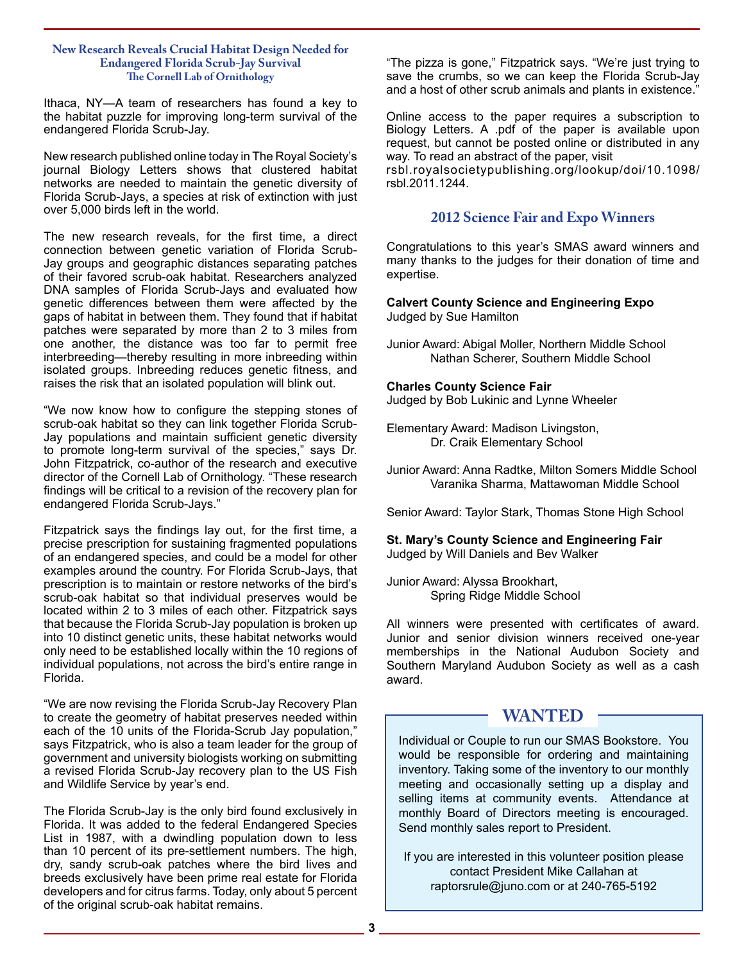#### **New Research Reveals Crucial Habitat Design Needed for Endangered Florida Scrub-Jay Survival The Cornell Lab of Ornithology**

Ithaca, NY—A team of researchers has found a key to the habitat puzzle for improving long-term survival of the endangered Florida Scrub-Jay.

New research published online today in The Royal Society's journal Biology Letters shows that clustered habitat networks are needed to maintain the genetic diversity of Florida Scrub-Jays, a species at risk of extinction with just over 5,000 birds left in the world.

The new research reveals, for the first time, a direct connection between genetic variation of Florida Scrub-Jay groups and geographic distances separating patches of their favored scrub-oak habitat. Researchers analyzed DNA samples of Florida Scrub-Jays and evaluated how genetic differences between them were affected by the gaps of habitat in between them. They found that if habitat patches were separated by more than 2 to 3 miles from one another, the distance was too far to permit free interbreeding—thereby resulting in more inbreeding within isolated groups. Inbreeding reduces genetic fitness, and raises the risk that an isolated population will blink out.

"We now know how to configure the stepping stones of scrub-oak habitat so they can link together Florida Scrub-Jay populations and maintain sufficient genetic diversity to promote long-term survival of the species," says Dr. John Fitzpatrick, co-author of the research and executive director of the Cornell Lab of Ornithology. "These research findings will be critical to a revision of the recovery plan for endangered Florida Scrub-Jays."

Fitzpatrick says the findings lay out, for the first time, a precise prescription for sustaining fragmented populations of an endangered species, and could be a model for other examples around the country. For Florida Scrub-Jays, that prescription is to maintain or restore networks of the bird's scrub-oak habitat so that individual preserves would be located within 2 to 3 miles of each other. Fitzpatrick says that because the Florida Scrub-Jay population is broken up into 10 distinct genetic units, these habitat networks would only need to be established locally within the 10 regions of individual populations, not across the bird's entire range in Florida.

"We are now revising the Florida Scrub-Jay Recovery Plan to create the geometry of habitat preserves needed within each of the 10 units of the Florida-Scrub Jay population," says Fitzpatrick, who is also a team leader for the group of government and university biologists working on submitting a revised Florida Scrub-Jay recovery plan to the US Fish and Wildlife Service by year's end.

The Florida Scrub-Jay is the only bird found exclusively in Florida. It was added to the federal Endangered Species List in 1987, with a dwindling population down to less than 10 percent of its pre-settlement numbers. The high, dry, sandy scrub-oak patches where the bird lives and breeds exclusively have been prime real estate for Florida developers and for citrus farms. Today, only about 5 percent of the original scrub-oak habitat remains.

"The pizza is gone," Fitzpatrick says. "We're just trying to save the crumbs, so we can keep the Florida Scrub-Jay and a host of other scrub animals and plants in existence.'

Online access to the paper requires a subscription to Biology Letters. A .pdf of the paper is available upon request, but cannot be posted online or distributed in any way. To read an abstract of the paper, visit

rsbl.royalsocietypublishing.org/lookup/doi/10.1098/ rsbl.2011.1244.

# **2012 Science Fair and Expo Winners**

Congratulations to this year's SMAS award winners and many thanks to the judges for their donation of time and expertise.

**Calvert County Science and Engineering Expo** Judged by Sue Hamilton

Junior Award: Abigal Moller, Northern Middle School Nathan Scherer, Southern Middle School

#### **Charles County Science Fair**

Judged by Bob Lukinic and Lynne Wheeler

- Elementary Award: Madison Livingston, Dr. Craik Elementary School
- Junior Award: Anna Radtke, Milton Somers Middle School Varanika Sharma, Mattawoman Middle School

Senior Award: Taylor Stark, Thomas Stone High School

**St. Mary's County Science and Engineering Fair** Judged by Will Daniels and Bev Walker

Junior Award: Alyssa Brookhart, Spring Ridge Middle School

All winners were presented with certificates of award. Junior and senior division winners received one-year memberships in the National Audubon Society and Southern Maryland Audubon Society as well as a cash award.

# **WANTED**

Individual or Couple to run our SMAS Bookstore. You would be responsible for ordering and maintaining inventory. Taking some of the inventory to our monthly meeting and occasionally setting up a display and selling items at community events. Attendance at monthly Board of Directors meeting is encouraged. Send monthly sales report to President.

If you are interested in this volunteer position please contact President Mike Callahan at raptorsrule@juno.com or at 240-765-5192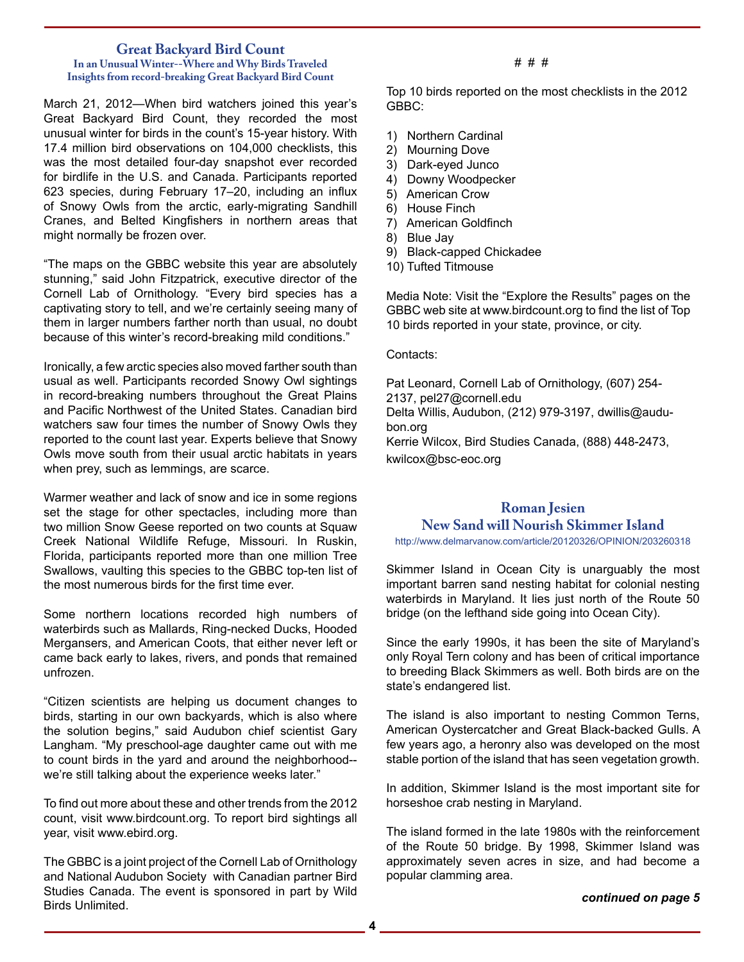# **Great Backyard Bird Count**

#### **In an Unusual Winter--Where and Why Birds Traveled Insights from record-breaking Great Backyard Bird Count**

March 21, 2012—When bird watchers joined this year's Great Backyard Bird Count, they recorded the most unusual winter for birds in the count's 15-year history. With 17.4 million bird observations on 104,000 checklists, this was the most detailed four-day snapshot ever recorded for birdlife in the U.S. and Canada. Participants reported 623 species, during February 17–20, including an influx of Snowy Owls from the arctic, early-migrating Sandhill Cranes, and Belted Kingfishers in northern areas that might normally be frozen over.

"The maps on the GBBC website this year are absolutely stunning," said John Fitzpatrick, executive director of the Cornell Lab of Ornithology. "Every bird species has a captivating story to tell, and we're certainly seeing many of them in larger numbers farther north than usual, no doubt because of this winter's record-breaking mild conditions."

Ironically, a few arctic species also moved farther south than usual as well. Participants recorded Snowy Owl sightings in record-breaking numbers throughout the Great Plains and Pacific Northwest of the United States. Canadian bird watchers saw four times the number of Snowy Owls they reported to the count last year. Experts believe that Snowy Owls move south from their usual arctic habitats in years when prey, such as lemmings, are scarce.

Warmer weather and lack of snow and ice in some regions set the stage for other spectacles, including more than two million Snow Geese reported on two counts at Squaw Creek National Wildlife Refuge, Missouri. In Ruskin, Florida, participants reported more than one million Tree Swallows, vaulting this species to the GBBC top-ten list of the most numerous birds for the first time ever.

Some northern locations recorded high numbers of waterbirds such as Mallards, Ring-necked Ducks, Hooded Mergansers, and American Coots, that either never left or came back early to lakes, rivers, and ponds that remained unfrozen.

"Citizen scientists are helping us document changes to birds, starting in our own backyards, which is also where the solution begins," said Audubon chief scientist Gary Langham. "My preschool-age daughter came out with me to count birds in the yard and around the neighborhood- we're still talking about the experience weeks later."

To find out more about these and other trends from the 2012 count, visit www.birdcount.org. To report bird sightings all year, visit www.ebird.org.

The GBBC is a joint project of the Cornell Lab of Ornithology and National Audubon Society with Canadian partner Bird Studies Canada. The event is sponsored in part by Wild Birds Unlimited.

#### # # #

Top 10 birds reported on the most checklists in the 2012 GBBC:

- 1) Northern Cardinal
- 2) Mourning Dove
- 3) Dark-eyed Junco
- 4) Downy Woodpecker
- 5) American Crow
- 6) House Finch
- 7) American Goldfinch
- 8) Blue Jay
- 9) Black-capped Chickadee
- 10) Tufted Titmouse

Media Note: Visit the "Explore the Results" pages on the GBBC web site at www.birdcount.org to find the list of Top 10 birds reported in your state, province, or city.

Contacts:

Pat Leonard, Cornell Lab of Ornithology, (607) 254- 2137, pel27@cornell.edu Delta Willis, Audubon, (212) 979-3197, dwillis@audubon.org Kerrie Wilcox, Bird Studies Canada, (888) 448-2473, kwilcox@bsc-eoc.org

# **Roman Jesien New Sand will Nourish Skimmer Island**

http://www.delmarvanow.com/article/20120326/OPINION/203260318

Skimmer Island in Ocean City is unarguably the most important barren sand nesting habitat for colonial nesting waterbirds in Maryland. It lies just north of the Route 50 bridge (on the lefthand side going into Ocean City).

Since the early 1990s, it has been the site of Maryland's only Royal Tern colony and has been of critical importance to breeding Black Skimmers as well. Both birds are on the state's endangered list.

The island is also important to nesting Common Terns, American Oystercatcher and Great Black-backed Gulls. A few years ago, a heronry also was developed on the most stable portion of the island that has seen vegetation growth.

In addition, Skimmer Island is the most important site for horseshoe crab nesting in Maryland.

The island formed in the late 1980s with the reinforcement of the Route 50 bridge. By 1998, Skimmer Island was approximately seven acres in size, and had become a popular clamming area.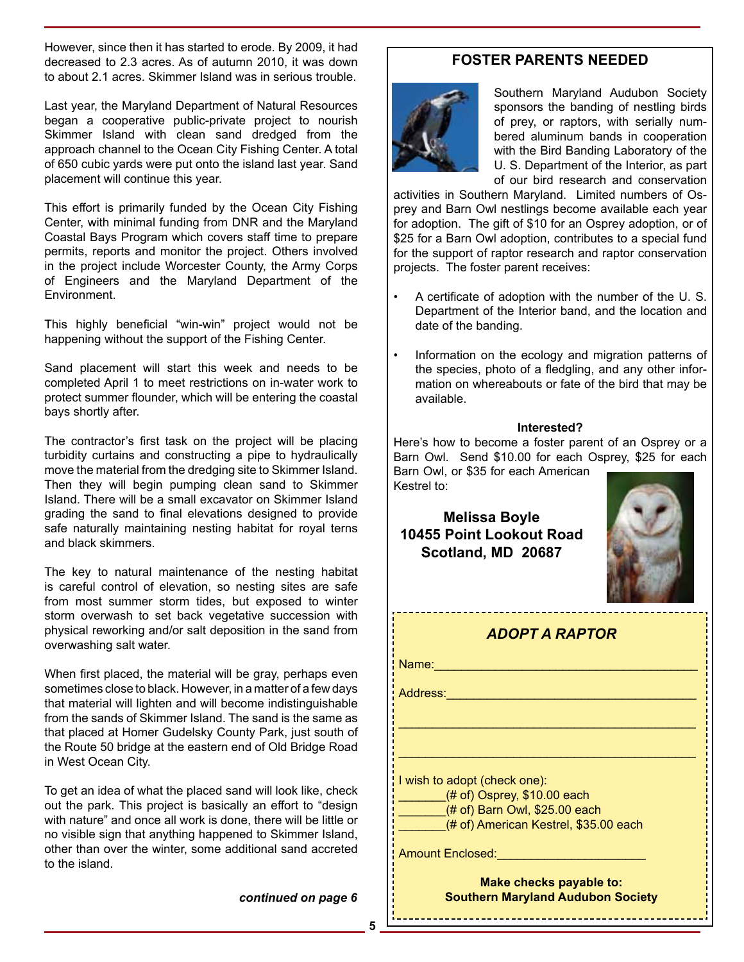However, since then it has started to erode. By 2009, it had decreased to 2.3 acres. As of autumn 2010, it was down to about 2.1 acres. Skimmer Island was in serious trouble.

Last year, the Maryland Department of Natural Resources began a cooperative public-private project to nourish Skimmer Island with clean sand dredged from the approach channel to the Ocean City Fishing Center. A total of 650 cubic yards were put onto the island last year. Sand placement will continue this year.

This effort is primarily funded by the Ocean City Fishing Center, with minimal funding from DNR and the Maryland Coastal Bays Program which covers staff time to prepare permits, reports and monitor the project. Others involved in the project include Worcester County, the Army Corps of Engineers and the Maryland Department of the Environment.

This highly beneficial "win-win" project would not be happening without the support of the Fishing Center.

Sand placement will start this week and needs to be completed April 1 to meet restrictions on in-water work to protect summer flounder, which will be entering the coastal bays shortly after.

The contractor's first task on the project will be placing turbidity curtains and constructing a pipe to hydraulically move the material from the dredging site to Skimmer Island. Then they will begin pumping clean sand to Skimmer Island. There will be a small excavator on Skimmer Island grading the sand to final elevations designed to provide safe naturally maintaining nesting habitat for royal terns and black skimmers.

The key to natural maintenance of the nesting habitat is careful control of elevation, so nesting sites are safe from most summer storm tides, but exposed to winter storm overwash to set back vegetative succession with physical reworking and/or salt deposition in the sand from overwashing salt water.

When first placed, the material will be gray, perhaps even sometimes close to black. However, in a matter of a few days that material will lighten and will become indistinguishable from the sands of Skimmer Island. The sand is the same as that placed at Homer Gudelsky County Park, just south of the Route 50 bridge at the eastern end of Old Bridge Road in West Ocean City.

To get an idea of what the placed sand will look like, check out the park. This project is basically an effort to "design with nature" and once all work is done, there will be little or no visible sign that anything happened to Skimmer Island, other than over the winter, some additional sand accreted to the island.

*continued on page 6* 

# **FOSTER PARENTS NEEDED**



Southern Maryland Audubon Society sponsors the banding of nestling birds of prey, or raptors, with serially numbered aluminum bands in cooperation with the Bird Banding Laboratory of the U. S. Department of the Interior, as part of our bird research and conservation

activities in Southern Maryland. Limited numbers of Osprey and Barn Owl nestlings become available each year for adoption. The gift of \$10 for an Osprey adoption, or of \$25 for a Barn Owl adoption, contributes to a special fund for the support of raptor research and raptor conservation projects. The foster parent receives:

- A certificate of adoption with the number of the U. S. Department of the Interior band, and the location and date of the banding.
- Information on the ecology and migration patterns of the species, photo of a fledgling, and any other information on whereabouts or fate of the bird that may be available.

#### **Interested?**

Here's how to become a foster parent of an Osprey or a Barn Owl. Send \$10.00 for each Osprey, \$25 for each Barn Owl, or \$35 for each American

Kestrel to:

**Melissa Boyle 10455 Point Lookout Road Scotland, MD 20687**



| <b>ADOPT A RAPTOR</b>                                               |
|---------------------------------------------------------------------|
| Name:                                                               |
| Address:                                                            |
|                                                                     |
|                                                                     |
| I wish to adopt (check one):                                        |
| $($ # of) Osprey, \$10.00 each                                      |
| (# of) Barn Owl, \$25.00 each                                       |
| (# of) American Kestrel, \$35.00 each                               |
| <b>Amount Enclosed:</b>                                             |
| Make checks payable to:<br><b>Southern Maryland Audubon Society</b> |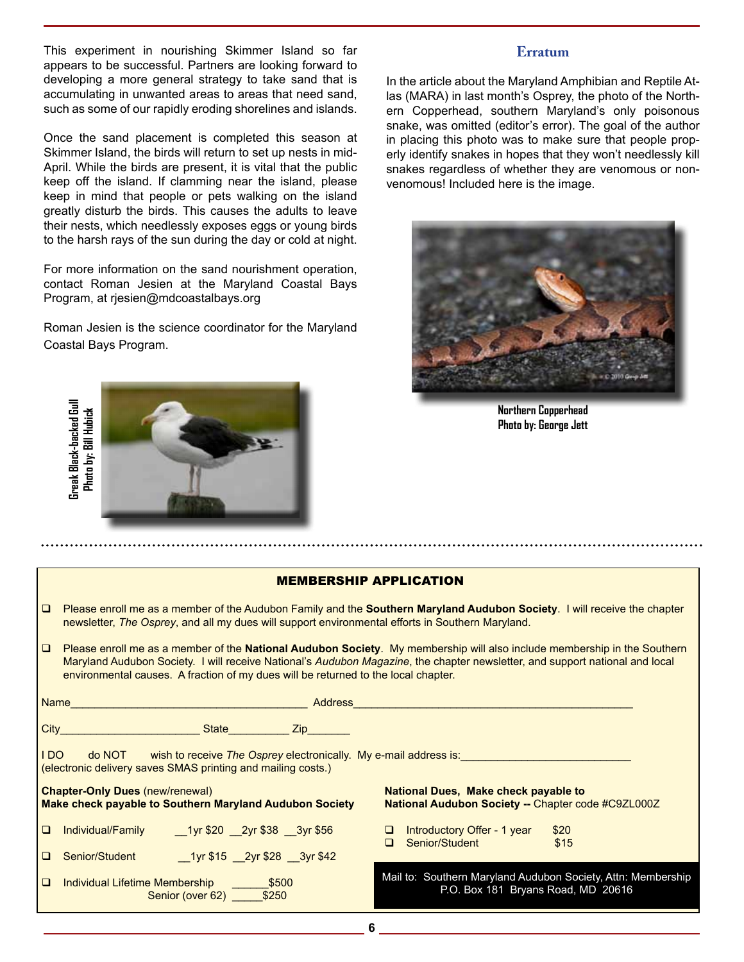This experiment in nourishing Skimmer Island so far appears to be successful. Partners are looking forward to developing a more general strategy to take sand that is accumulating in unwanted areas to areas that need sand, such as some of our rapidly eroding shorelines and islands.

Once the sand placement is completed this season at Skimmer Island, the birds will return to set up nests in mid-April. While the birds are present, it is vital that the public keep off the island. If clamming near the island, please keep in mind that people or pets walking on the island greatly disturb the birds. This causes the adults to leave their nests, which needlessly exposes eggs or young birds to the harsh rays of the sun during the day or cold at night.

For more information on the sand nourishment operation, contact Roman Jesien at the Maryland Coastal Bays Program, at rjesien@mdcoastalbays.org

Roman Jesien is the science coordinator for the Maryland Coastal Bays Program.

# Greak Black-backed Gull **Greak Black-backed Gull** Phata by: Bill Hubick **Photo by: Bill Hubick**

## **Erratum**

In the article about the Maryland Amphibian and Reptile Atlas (MARA) in last month's Osprey, the photo of the Northern Copperhead, southern Maryland's only poisonous snake, was omitted (editor's error). The goal of the author in placing this photo was to make sure that people properly identify snakes in hopes that they won't needlessly kill snakes regardless of whether they are venomous or nonvenomous! Included here is the image.



**Northern Copperhead Photo by: George Jett**

#### MEMBERSHIP APPLICATION

- Please enroll me as a member of the Audubon Family and the **Southern Maryland Audubon Society**. I will receive the chapter newsletter, *The Osprey*, and all my dues will support environmental efforts in Southern Maryland.
- Please enroll me as a member of the **National Audubon Society**. My membership will also include membership in the Southern Maryland Audubon Society. I will receive National's *Audubon Magazine*, the chapter newsletter, and support national and local environmental causes. A fraction of my dues will be returned to the local chapter.

| Name                                                                                                                                                |                                                                                                   |                                    | <b>Address</b> |                                                                                                    |  |  |
|-----------------------------------------------------------------------------------------------------------------------------------------------------|---------------------------------------------------------------------------------------------------|------------------------------------|----------------|----------------------------------------------------------------------------------------------------|--|--|
| City                                                                                                                                                |                                                                                                   | <b>State</b>                       | <b>Zip</b>     |                                                                                                    |  |  |
| do NOT<br>I DO.<br>wish to receive The Osprey electronically. My e-mail address is:<br>(electronic delivery saves SMAS printing and mailing costs.) |                                                                                                   |                                    |                |                                                                                                    |  |  |
|                                                                                                                                                     | <b>Chapter-Only Dues (new/renewal)</b><br>Make check payable to Southern Maryland Audubon Society |                                    |                | National Dues, Make check payable to<br><b>National Audubon Society -- Chapter code #C9ZL000Z</b>  |  |  |
| $\Box$                                                                                                                                              | Individual/Family                                                                                 | 1yr \$20 2yr \$38 3yr \$56         |                | \$20<br>Introductory Offer - 1 year<br>Senior/Student<br>\$15                                      |  |  |
| □                                                                                                                                                   | Senior/Student                                                                                    | 1yr \$15 2yr \$28 3yr \$42         |                |                                                                                                    |  |  |
| $\Box$                                                                                                                                              | Individual Lifetime Membership                                                                    | \$500<br>Senior (over 62)<br>\$250 |                | Mail to: Southern Maryland Audubon Society, Attn: Membership<br>P.O. Box 181 Bryans Road, MD 20616 |  |  |